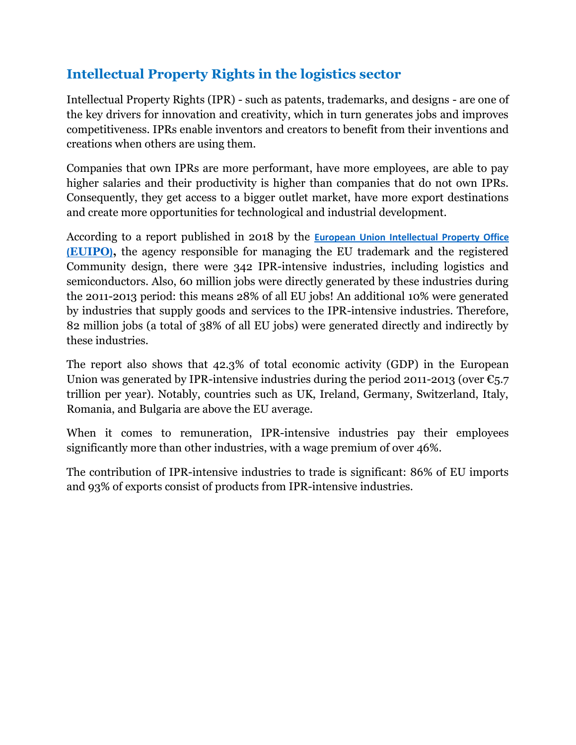#### **Intellectual Property Rights in the logistics sector**

Intellectual Property Rights (IPR) - such as patents, trademarks, and designs - are one of the key drivers for innovation and creativity, which in turn generates jobs and improves competitiveness. IPRs enable inventors and creators to benefit from their inventions and creations when others are using them.

Companies that own IPRs are more performant, have more employees, are able to pay higher salaries and their productivity is higher than companies that do not own IPRs. Consequently, they get access to a bigger outlet market, have more export destinations and create more opportunities for technological and industrial development.

According to a report published in 2018 by the **[European Union Intellectual Property Office](https://euipo.europa.eu/ohimportal/en/designs)  [\(](https://euipo.europa.eu/ohimportal/en/designs)[EUIPO](https://euipo.europa.eu/ohimportal/en/designs)[\)](https://euipo.europa.eu/ohimportal/en/designs),** the agency responsible for managing the EU trademark and the registered Community design, there were 342 IPR-intensive industries, including logistics and semiconductors. Also, 60 million jobs were directly generated by these industries during the 2011-2013 period: this means 28% of all EU jobs! An additional 10% were generated by industries that supply goods and services to the IPR-intensive industries. Therefore, 82 million jobs (a total of 38% of all EU jobs) were generated directly and indirectly by these industries.

The report also shows that 42.3% of total economic activity (GDP) in the European Union was generated by IPR-intensive industries during the period 2011-2013 (over  $\epsilon_{5.7}$ ) trillion per year). Notably, countries such as UK, Ireland, Germany, Switzerland, Italy, Romania, and Bulgaria are above the EU average.

When it comes to remuneration, IPR-intensive industries pay their employees significantly more than other industries, with a wage premium of over 46%.

The contribution of IPR-intensive industries to trade is significant: 86% of EU imports and 93% of exports consist of products from IPR-intensive industries.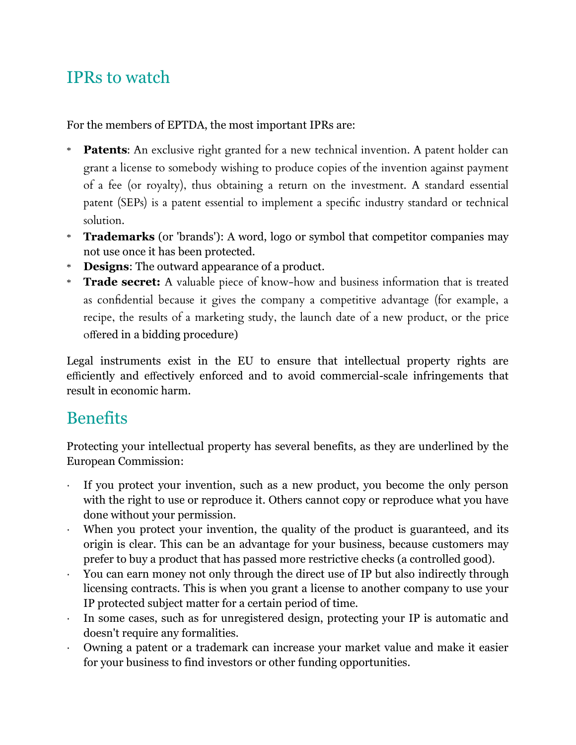# IPRs to watch

For the members of EPTDA, the most important IPRs are:

- \* **Patents**: An exclusive right granted for a new technical invention. A patent holder can grant a license to somebody wishing to produce copies of the invention against payment of a fee (or royalty), thus obtaining a return on the investment. A standard essential patent (SEPs) is a patent essential to implement a specific industry standard or technical solution.
- \* **Trademarks** (or 'brands'): A word, logo or symbol that competitor companies may not use once it has been protected.
- \* **Designs**: The outward appearance of a product.
- \* **Trade secret:** A valuable piece of know-how and business information that is treated as confidential because it gives the company a competitive advantage (for example, a recipe, the results of a marketing study, the launch date of a new product, or the price offered in a bidding procedure)

Legal instruments exist in the EU to ensure that intellectual property rights are efficiently and effectively enforced and to avoid commercial-scale infringements that result in economic harm.

### **Benefits**

Protecting your intellectual property has several benefits, as they are underlined by the European Commission:

- ∙ If you protect your invention, such as a new product, you become the only person with the right to use or reproduce it. Others cannot copy or reproduce what you have done without your permission.
- ∙ When you protect your invention, the quality of the product is guaranteed, and its origin is clear. This can be an advantage for your business, because customers may prefer to buy a product that has passed more restrictive checks (a controlled good).
- ∙ You can earn money not only through the direct use of IP but also indirectly through licensing contracts. This is when you grant a license to another company to use your IP protected subject matter for a certain period of time.
- ∙ In some cases, such as for unregistered design, protecting your IP is automatic and doesn't require any formalities.
- ∙ Owning a patent or a trademark can increase your market value and make it easier for your business to find investors or other funding opportunities.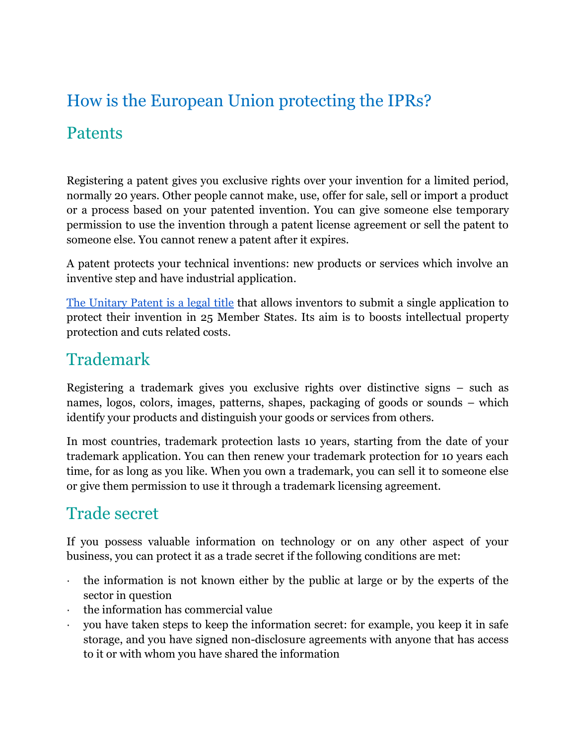# How is the European Union protecting the IPRs?

#### Patents

Registering a patent gives you exclusive rights over your invention for a limited period, normally 20 years. Other people cannot make, use, offer for sale, sell or import a product or a process based on your patented invention. You can give someone else temporary permission to use the invention through a patent license agreement or sell the patent to someone else. You cannot renew a patent after it expires.

A patent protects your technical inventions: new products or services which involve an inventive step and have industrial application.

[The Unitary Patent is](https://ec.europa.eu/growth/industry/intellectual-property/patents/unitary-patent_da) [a legal title](https://ec.europa.eu/growth/industry/intellectual-property/patents/unitary-patent_da) that allows inventors to submit a single application to protect their invention in 25 Member States. Its aim is to boosts intellectual property protection and cuts related costs.

#### Trademark

Registering a trademark gives you exclusive rights over distinctive signs – such as names, logos, colors, images, patterns, shapes, packaging of goods or sounds – which identify your products and distinguish your goods or services from others.

In most countries, trademark protection lasts 10 years, starting from the date of your trademark application. You can then renew your trademark protection for 10 years each time, for as long as you like. When you own a trademark, you can sell it to someone else or give them permission to use it through a trademark licensing agreement.

### Trade secret

If you possess valuable information on technology or on any other aspect of your business, you can protect it as a trade secret if the following conditions are met:

- ∙ the information is not known either by the public at large or by the experts of the sector in question
- ∙ the information has commercial value
- ∙ you have taken steps to keep the information secret: for example, you keep it in safe storage, and you have signed non-disclosure agreements with anyone that has access to it or with whom you have shared the information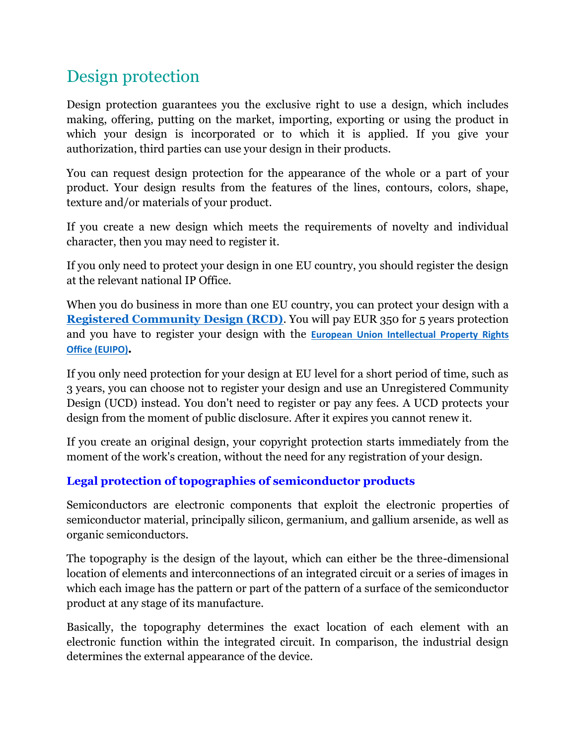## Design protection

Design protection guarantees you the exclusive right to use a design, which includes making, offering, putting on the market, importing, exporting or using the product in which your design is incorporated or to which it is applied. If you give your authorization, third parties can use your design in their products.

You can request design protection for the appearance of the whole or a part of your product. Your design results from the features of the lines, contours, colors, shape, texture and/or materials of your product.

If you create a new design which meets the requirements of novelty and individual character, then you may need to register it.

If you only need to protect your design in one EU country, you should register the design at the relevant national IP Office.

When you do business in more than one EU country, you can protect your design with a **[Registered Community Design \(RCD\)](https://euipo.europa.eu/ohimportal/en/designs)**. You will pay EUR 350 for 5 years protection and you have to register your design with the **[European Union Intellectual Property Rights](https://euipo.europa.eu/ohimportal/en)  [Office \(EUIPO\)](https://euipo.europa.eu/ohimportal/en).**

If you only need protection for your design at EU level for a short period of time, such as 3 years, you can choose not to register your design and use an Unregistered Community Design (UCD) instead. You don't need to register or pay any fees. A UCD protects your design from the moment of public disclosure. After it expires you cannot renew it.

If you create an original design, your copyright protection starts immediately from the moment of the work's creation, without the need for any registration of your design.

#### **Legal protection of topographies of semiconductor products**

Semiconductors are electronic components that exploit the electronic properties of semiconductor material, principally silicon, germanium, and gallium arsenide, as well as organic semiconductors.

The topography is the design of the layout, which can either be the three-dimensional location of elements and interconnections of an integrated circuit or a series of images in which each image has the pattern or part of the pattern of a surface of the semiconductor product at any stage of its manufacture.

Basically, the topography determines the exact location of each element with an electronic function within the integrated circuit. In comparison, the industrial design determines the external appearance of the device.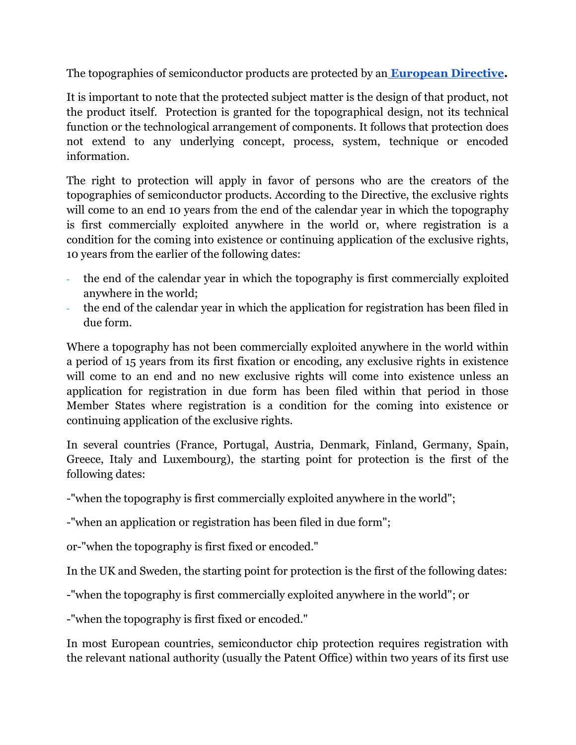The topographies of semiconductor products are protected by an **[European Directive.](https://eur-lex.europa.eu/legal-content/EN/TXT/?uri=CELEX:31987L0054)**

It is important to note that the protected subject matter is the design of that product, not the product itself. Protection is granted for the topographical design, not its technical function or the technological arrangement of components. It follows that protection does not extend to any underlying concept, process, system, technique or encoded information.

The right to protection will apply in favor of persons who are the creators of the topographies of semiconductor products. According to the Directive, the exclusive rights will come to an end 10 years from the end of the calendar year in which the topography is first commercially exploited anywhere in the world or, where registration is a condition for the coming into existence or continuing application of the exclusive rights, 10 years from the earlier of the following dates:

- the end of the calendar year in which the topography is first commercially exploited anywhere in the world;
- the end of the calendar year in which the application for registration has been filed in due form.

Where a topography has not been commercially exploited anywhere in the world within a period of 15 years from its first fixation or encoding, any exclusive rights in existence will come to an end and no new exclusive rights will come into existence unless an application for registration in due form has been filed within that period in those Member States where registration is a condition for the coming into existence or continuing application of the exclusive rights.

In several countries (France, Portugal, Austria, Denmark, Finland, Germany, Spain, Greece, Italy and Luxembourg), the starting point for protection is the first of the following dates:

-"when the topography is first commercially exploited anywhere in the world";

-"when an application or registration has been filed in due form";

or-"when the topography is first fixed or encoded."

In the UK and Sweden, the starting point for protection is the first of the following dates:

-"when the topography is first commercially exploited anywhere in the world"; or

-"when the topography is first fixed or encoded."

In most European countries, semiconductor chip protection requires registration with the relevant national authority (usually the Patent Office) within two years of its first use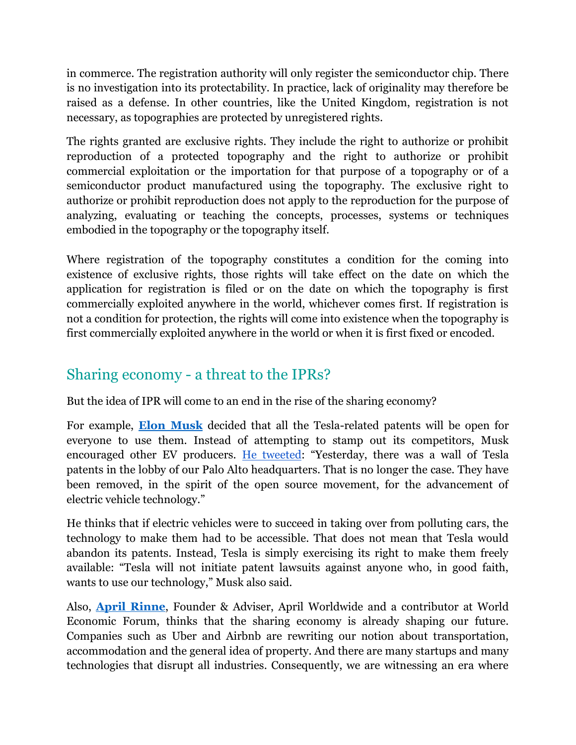in commerce. The registration authority will only register the semiconductor chip. There is no investigation into its protectability. In practice, lack of originality may therefore be raised as a defense. In other countries, like the United Kingdom, registration is not necessary, as topographies are protected by unregistered rights.

The rights granted are exclusive rights. They include the right to authorize or prohibit reproduction of a protected topography and the right to authorize or prohibit commercial exploitation or the importation for that purpose of a topography or of a semiconductor product manufactured using the topography. The exclusive right to authorize or prohibit reproduction does not apply to the reproduction for the purpose of analyzing, evaluating or teaching the concepts, processes, systems or techniques embodied in the topography or the topography itself.

Where registration of the topography constitutes a condition for the coming into existence of exclusive rights, those rights will take effect on the date on which the application for registration is filed or on the date on which the topography is first commercially exploited anywhere in the world, whichever comes first. If registration is not a condition for protection, the rights will come into existence when the topography is first commercially exploited anywhere in the world or when it is first fixed or encoded.

#### Sharing economy - a threat to the IPRs?

But the idea of IPR will come to an end in the rise of the sharing economy?

For example, **[Elon Musk](https://en.wikipedia.org/wiki/Elon_Musk)** decided that all the Tesla-related patents will be open for everyone to use them. Instead of attempting to stamp out its competitors, Musk encouraged other EV producers. [He tweeted](https://thedriven.io/2019/02/04/tesla-patents-free-to-use-sustainable-strength/): "Yesterday, there was a wall of Tesla patents in the lobby of our Palo Alto headquarters. That is no longer the case. They have been removed, in the spirit of the open source movement, for the advancement of electric vehicle technology."

He thinks that if electric vehicles were to succeed in taking over from polluting cars, the technology to make them had to be accessible. That does not mean that Tesla would abandon its patents. Instead, Tesla is simply exercising its right to make them freely available: "Tesla will not initiate patent lawsuits against anyone who, in good faith, wants to use our technology," Musk also said.

Also, **[April Rinne](https://aprilrinne.com/)**, Founder & Adviser, April Worldwide and a contributor at World Economic Forum, thinks that the sharing economy is already shaping our future. Companies such as Uber and Airbnb are rewriting our notion about transportation, accommodation and the general idea of property. And there are many startups and many technologies that disrupt all industries. Consequently, we are witnessing an era where